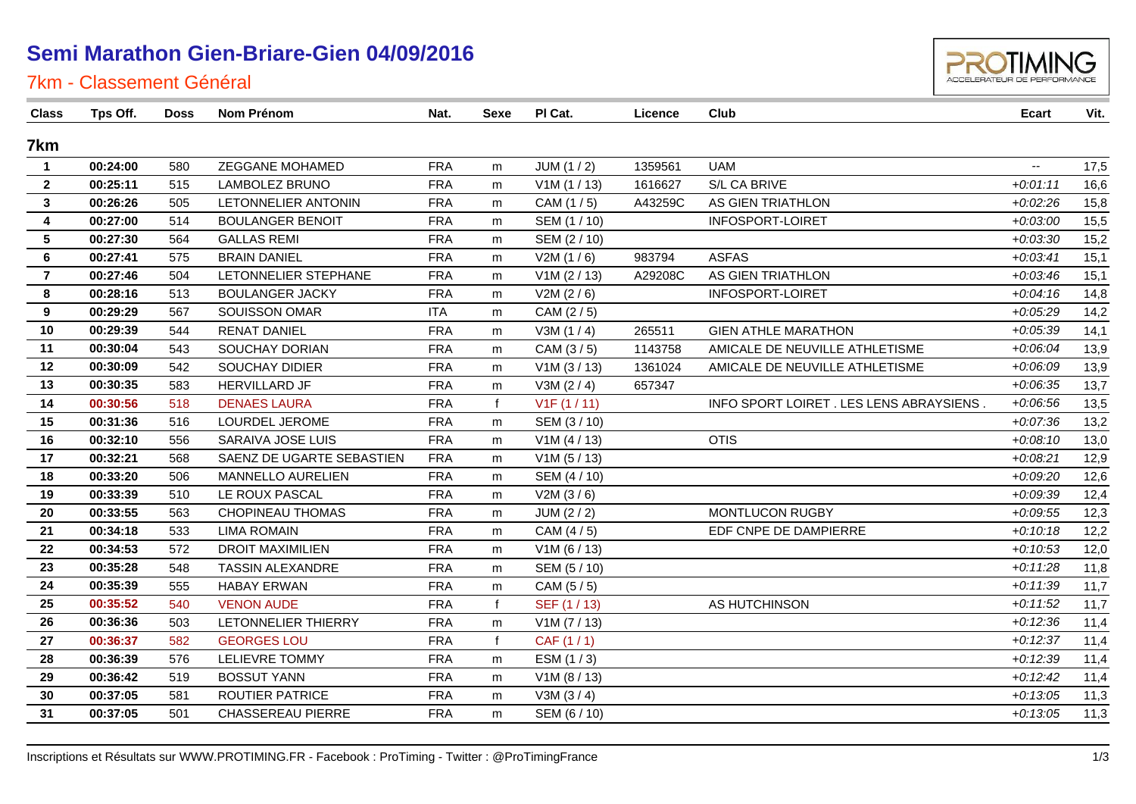### **Semi Marathon Gien-Briare-Gien 04/09/2016**



#### 7km - Classement Général

| <b>Class</b>            | Tps Off. | <b>Doss</b> | Nom Prénom                | Nat.       | Sexe         | PI Cat.      | Licence | Club                                    | Ecart                    | Vit. |
|-------------------------|----------|-------------|---------------------------|------------|--------------|--------------|---------|-----------------------------------------|--------------------------|------|
| 7km                     |          |             |                           |            |              |              |         |                                         |                          |      |
| $\mathbf{1}$            | 00:24:00 | 580         | ZEGGANE MOHAMED           | <b>FRA</b> | m            | JUM(1/2)     | 1359561 | <b>UAM</b>                              | $\overline{\phantom{a}}$ | 17,5 |
| $\overline{2}$          | 00:25:11 | 515         | <b>LAMBOLEZ BRUNO</b>     | <b>FRA</b> | m            | V1M(1/13)    | 1616627 | S/L CA BRIVE                            | $+0.01:11$               | 16,6 |
| $\mathbf{3}$            | 00:26:26 | 505         | LETONNELIER ANTONIN       | <b>FRA</b> | m            | CAM (1/5)    | A43259C | AS GIEN TRIATHLON                       | $+0.02:26$               | 15,8 |
| $\overline{4}$          | 00:27:00 | 514         | <b>BOULANGER BENOIT</b>   | <b>FRA</b> | m            | SEM (1 / 10) |         | <b>INFOSPORT-LOIRET</b>                 | $+0.03:00$               | 15,5 |
| $\overline{\mathbf{5}}$ | 00:27:30 | 564         | <b>GALLAS REMI</b>        | <b>FRA</b> | m            | SEM (2/10)   |         |                                         | $+0.0330$                | 15,2 |
| 6                       | 00:27:41 | 575         | <b>BRAIN DANIEL</b>       | <b>FRA</b> | m            | V2M(1/6)     | 983794  | <b>ASFAS</b>                            | $+0.03:41$               | 15,1 |
| $\overline{7}$          | 00:27:46 | 504         | LETONNELIER STEPHANE      | <b>FRA</b> | m            | V1M (2 / 13) | A29208C | AS GIEN TRIATHLON                       | $+0.03:46$               | 15,1 |
| 8                       | 00:28:16 | 513         | <b>BOULANGER JACKY</b>    | <b>FRA</b> | m            | V2M (2/6)    |         | INFOSPORT-LOIRET                        | $+0.04:16$               | 14,8 |
| 9                       | 00:29:29 | 567         | SOUISSON OMAR             | <b>ITA</b> | m            | CAM (2/5)    |         |                                         | $+0.05:29$               | 14,2 |
| 10                      | 00:29:39 | 544         | <b>RENAT DANIEL</b>       | <b>FRA</b> | m            | V3M(1/4)     | 265511  | <b>GIEN ATHLE MARATHON</b>              | $+0.05.39$               | 14,1 |
| 11                      | 00:30:04 | 543         | SOUCHAY DORIAN            | <b>FRA</b> | m            | CAM (3/5)    | 1143758 | AMICALE DE NEUVILLE ATHLETISME          | $+0.06:04$               | 13,9 |
| 12                      | 00:30:09 | 542         | <b>SOUCHAY DIDIER</b>     | <b>FRA</b> | m            | V1M (3 / 13) | 1361024 | AMICALE DE NEUVILLE ATHLETISME          | $+0.06.09$               | 13,9 |
| 13                      | 00:30:35 | 583         | HERVILLARD JF             | <b>FRA</b> | m            | V3M (2/4)    | 657347  |                                         | $+0.06:35$               | 13,7 |
| 14                      | 00:30:56 | 518         | <b>DENAES LAURA</b>       | <b>FRA</b> | $\mathbf{f}$ | V1F(1/11)    |         | INFO SPORT LOIRET. LES LENS ABRAYSIENS. | $+0.06:56$               | 13,5 |
| 15                      | 00:31:36 | 516         | LOURDEL JEROME            | <b>FRA</b> | m            | SEM (3/10)   |         |                                         | $+0.07.36$               | 13,2 |
| 16                      | 00:32:10 | 556         | SARAIVA JOSE LUIS         | <b>FRA</b> | m            | V1M (4 / 13) |         | <b>OTIS</b>                             | $+0.08:10$               | 13,0 |
| 17                      | 00:32:21 | 568         | SAENZ DE UGARTE SEBASTIEN | <b>FRA</b> | m            | V1M(5/13)    |         |                                         | $+0.08:21$               | 12,9 |
| 18                      | 00:33:20 | 506         | MANNELLO AURELIEN         | <b>FRA</b> | m            | SEM (4/10)   |         |                                         | $+0.09:20$               | 12,6 |
| 19                      | 00:33:39 | 510         | LE ROUX PASCAL            | <b>FRA</b> | m            | V2M(3/6)     |         |                                         | $+0.09339$               | 12,4 |
| 20                      | 00:33:55 | 563         | <b>CHOPINEAU THOMAS</b>   | <b>FRA</b> | m            | JUM (2 / 2)  |         | MONTLUCON RUGBY                         | $+0.09:55$               | 12,3 |
| 21                      | 00:34:18 | 533         | <b>LIMA ROMAIN</b>        | <b>FRA</b> | m            | CAM (4/5)    |         | EDF CNPE DE DAMPIERRE                   | $+0:10:18$               | 12,2 |
| 22                      | 00:34:53 | 572         | <b>DROIT MAXIMILIEN</b>   | <b>FRA</b> | m            | V1M (6 / 13) |         |                                         | $+0:10:53$               | 12,0 |
| 23                      | 00:35:28 | 548         | <b>TASSIN ALEXANDRE</b>   | <b>FRA</b> | m            | SEM (5/10)   |         |                                         | $+0:11:28$               | 11,8 |
| 24                      | 00:35:39 | 555         | <b>HABAY ERWAN</b>        | <b>FRA</b> | m            | CAM (5/5)    |         |                                         | $+0:11:39$               | 11,7 |
| 25                      | 00:35:52 | 540         | <b>VENON AUDE</b>         | <b>FRA</b> | $\mathbf{f}$ | SEF (1/13)   |         | AS HUTCHINSON                           | $+0:11:52$               | 11,7 |
| 26                      | 00:36:36 | 503         | LETONNELIER THIERRY       | <b>FRA</b> | m            | V1M (7 / 13) |         |                                         | $+0:12:36$               | 11,4 |
| 27                      | 00:36:37 | 582         | <b>GEORGES LOU</b>        | <b>FRA</b> | $\mathbf{f}$ | CAF (1/1)    |         |                                         | $+0:12:37$               | 11,4 |
| 28                      | 00:36:39 | 576         | <b>LELIEVRE TOMMY</b>     | <b>FRA</b> | m            | ESM (1/3)    |         |                                         | $+0:12:39$               | 11,4 |
| 29                      | 00:36:42 | 519         | <b>BOSSUT YANN</b>        | <b>FRA</b> | m            | V1M (8 / 13) |         |                                         | $+0:12:42$               | 11,4 |
| 30                      | 00:37:05 | 581         | ROUTIER PATRICE           | <b>FRA</b> | m            | V3M(3/4)     |         |                                         | $+0.13.05$               | 11,3 |
| 31                      | 00:37:05 | 501         | <b>CHASSEREAU PIERRE</b>  | <b>FRA</b> | m            | SEM (6 / 10) |         |                                         | $+0.13:05$               | 11,3 |
|                         |          |             |                           |            |              |              |         |                                         |                          |      |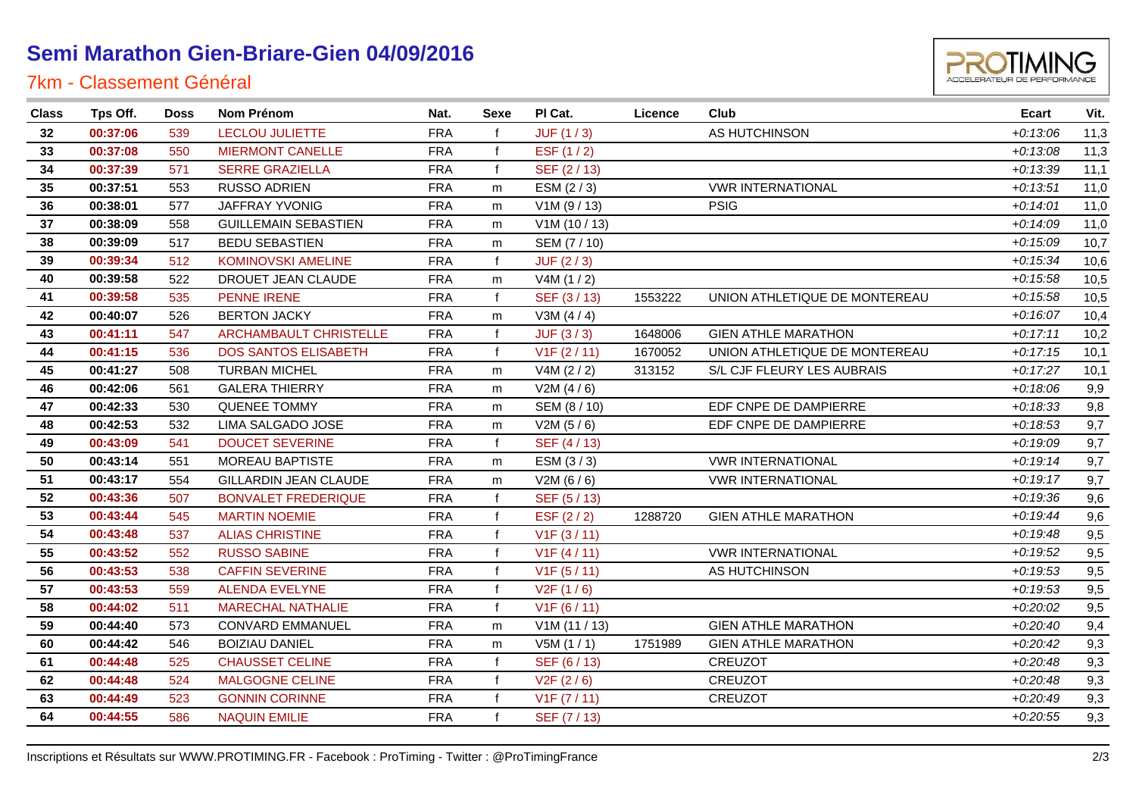# **Semi Marathon Gien-Briare-Gien 04/09/2016**

### 7km - Classement Général



| <b>Class</b> | Tps Off. | <b>Doss</b> | <b>Nom Prénom</b>           | Nat.       | Sexe         | PI Cat.      | Licence | Club                          | <b>Ecart</b> | Vit. |
|--------------|----------|-------------|-----------------------------|------------|--------------|--------------|---------|-------------------------------|--------------|------|
| 32           | 00:37:06 | 539         | <b>LECLOU JULIETTE</b>      | <b>FRA</b> |              | JUF(1/3)     |         | AS HUTCHINSON                 | $+0:13:06$   | 11,3 |
| 33           | 00:37:08 | 550         | <b>MIERMONT CANELLE</b>     | <b>FRA</b> | $\mathsf{f}$ | ESF (1/2)    |         |                               | $+0.13.08$   | 11,3 |
| 34           | 00:37:39 | 571         | <b>SERRE GRAZIELLA</b>      | <b>FRA</b> | $\mathbf{f}$ | SEF (2/13)   |         |                               | $+0:13:39$   | 11,1 |
| 35           | 00:37:51 | 553         | <b>RUSSO ADRIEN</b>         | <b>FRA</b> | m            | ESM (2/3)    |         | <b>VWR INTERNATIONAL</b>      | $+0:13:51$   | 11,0 |
| 36           | 00:38:01 | 577         | JAFFRAY YVONIG              | <b>FRA</b> | m            | V1M (9 / 13) |         | <b>PSIG</b>                   | $+0.14:01$   | 11,0 |
| 37           | 00:38:09 | 558         | <b>GUILLEMAIN SEBASTIEN</b> | <b>FRA</b> | m            | V1M(10/13)   |         |                               | $+0.14.09$   | 11,0 |
| 38           | 00:39:09 | 517         | <b>BEDU SEBASTIEN</b>       | <b>FRA</b> | m            | SEM (7 / 10) |         |                               | $+0:15:09$   | 10,7 |
| 39           | 00:39:34 | 512         | KOMINOVSKI AMELINE          | <b>FRA</b> | $\mathsf{f}$ | JUF(2/3)     |         |                               | $+0:15:34$   | 10,6 |
| 40           | 00:39:58 | 522         | DROUET JEAN CLAUDE          | <b>FRA</b> | m            | V4M(1/2)     |         |                               | $+0.15.58$   | 10,5 |
| 41           | 00:39:58 | 535         | PENNE IRENE                 | <b>FRA</b> | $\mathbf{f}$ | SEF (3/13)   | 1553222 | UNION ATHLETIQUE DE MONTEREAU | $+0.15.58$   | 10,5 |
| 42           | 00:40:07 | 526         | <b>BERTON JACKY</b>         | <b>FRA</b> | m            | V3M $(4/4)$  |         |                               | $+0:16:07$   | 10,4 |
| 43           | 00:41:11 | 547         | ARCHAMBAULT CHRISTELLE      | <b>FRA</b> | $\mathbf{f}$ | JUF(3/3)     | 1648006 | <b>GIEN ATHLE MARATHON</b>    | $+0:17:11$   | 10,2 |
| 44           | 00:41:15 | 536         | <b>DOS SANTOS ELISABETH</b> | <b>FRA</b> | $\mathbf{f}$ | V1F(2/11)    | 1670052 | UNION ATHLETIQUE DE MONTEREAU | $+0:17:15$   | 10,1 |
| 45           | 00:41:27 | 508         | <b>TURBAN MICHEL</b>        | <b>FRA</b> | m            | V4M (2 / 2)  | 313152  | S/L CJF FLEURY LES AUBRAIS    | $+0:17:27$   | 10,1 |
| 46           | 00:42:06 | 561         | <b>GALERA THIERRY</b>       | <b>FRA</b> | m            | V2M(4/6)     |         |                               | $+0.18.06$   | 9,9  |
| 47           | 00:42:33 | 530         | QUENEE TOMMY                | <b>FRA</b> | m            | SEM (8 / 10) |         | EDF CNPE DE DAMPIERRE         | $+0.18.33$   | 9,8  |
| 48           | 00:42:53 | 532         | LIMA SALGADO JOSE           | <b>FRA</b> | m            | V2M(5/6)     |         | EDF CNPE DE DAMPIERRE         | $+0:18:53$   | 9,7  |
| 49           | 00:43:09 | 541         | <b>DOUCET SEVERINE</b>      | <b>FRA</b> | $\mathbf{f}$ | SEF (4/13)   |         |                               | $+0.19.09$   | 9,7  |
| 50           | 00:43:14 | 551         | MOREAU BAPTISTE             | <b>FRA</b> | m            | ESM (3/3)    |         | <b>VWR INTERNATIONAL</b>      | $+0:19:14$   | 9,7  |
| 51           | 00:43:17 | 554         | GILLARDIN JEAN CLAUDE       | <b>FRA</b> | m            | V2M(6/6)     |         | <b>VWR INTERNATIONAL</b>      | $+0:19:17$   | 9,7  |
| 52           | 00:43:36 | 507         | <b>BONVALET FREDERIQUE</b>  | <b>FRA</b> | f            | SEF (5/13)   |         |                               | $+0.19.36$   | 9,6  |
| 53           | 00:43:44 | 545         | <b>MARTIN NOEMIE</b>        | <b>FRA</b> | $\mathbf f$  | ESF $(2/2)$  | 1288720 | <b>GIEN ATHLE MARATHON</b>    | $+0:19:44$   | 9,6  |
| 54           | 00:43:48 | 537         | <b>ALIAS CHRISTINE</b>      | <b>FRA</b> | f            | V1F(3/11)    |         |                               | $+0.19:48$   | 9,5  |
| 55           | 00:43:52 | 552         | <b>RUSSO SABINE</b>         | <b>FRA</b> | $\mathbf f$  | V1F(4/11)    |         | <b>VWR INTERNATIONAL</b>      | $+0.19:52$   | 9,5  |
| 56           | 00:43:53 | 538         | <b>CAFFIN SEVERINE</b>      | <b>FRA</b> | f            | V1F(5/11)    |         | AS HUTCHINSON                 | $+0:19:53$   | 9,5  |
| 57           | 00:43:53 | 559         | <b>ALENDA EVELYNE</b>       | <b>FRA</b> | $\mathbf{f}$ | V2F(1/6)     |         |                               | $+0:19:53$   | 9,5  |
| 58           | 00:44:02 | 511         | <b>MARECHAL NATHALIE</b>    | <b>FRA</b> | $\mathsf{f}$ | V1F(6/11)    |         |                               | $+0:20:02$   | 9,5  |
| 59           | 00:44:40 | 573         | <b>CONVARD EMMANUEL</b>     | <b>FRA</b> | m            | V1M(11/13)   |         | <b>GIEN ATHLE MARATHON</b>    | $+0.20:40$   | 9,4  |
| 60           | 00:44:42 | 546         | <b>BOIZIAU DANIEL</b>       | <b>FRA</b> | m            | V5M(1/1)     | 1751989 | <b>GIEN ATHLE MARATHON</b>    | $+0.20:42$   | 9,3  |
| 61           | 00:44:48 | 525         | <b>CHAUSSET CELINE</b>      | <b>FRA</b> | $\mathbf{f}$ | SEF (6/13)   |         | <b>CREUZOT</b>                | $+0.20:48$   | 9,3  |
| 62           | 00:44:48 | 524         | <b>MALGOGNE CELINE</b>      | <b>FRA</b> | $\mathsf{f}$ | V2F(2/6)     |         | CREUZOT                       | $+0.20:48$   | 9,3  |
| 63           | 00:44:49 | 523         | <b>GONNIN CORINNE</b>       | <b>FRA</b> | f            | V1F (7 / 11) |         | <b>CREUZOT</b>                | $+0.20:49$   | 9,3  |
| 64           | 00:44:55 | 586         | <b>NAQUIN EMILIE</b>        | <b>FRA</b> |              | SEF (7/13)   |         |                               | $+0.20.55$   | 9,3  |
|              |          |             |                             |            |              |              |         |                               |              |      |